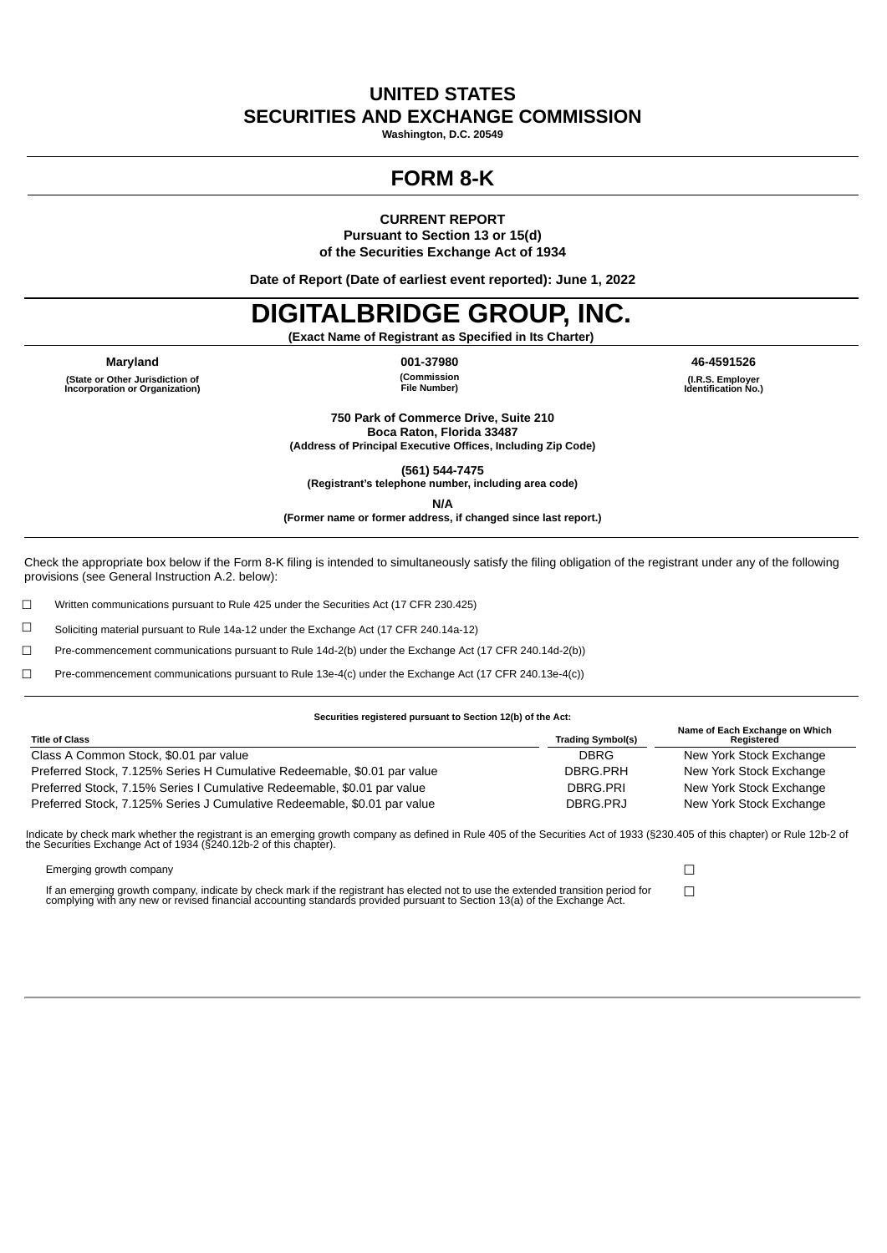### **UNITED STATES SECURITIES AND EXCHANGE COMMISSION**

**Washington, D.C. 20549**

## **FORM 8-K**

**CURRENT REPORT**

**Pursuant to Section 13 or 15(d) of the Securities Exchange Act of 1934**

**Date of Report (Date of earliest event reported): June 1, 2022**

# **DIGITALBRIDGE GROUP, INC.**

**(Exact Name of Registrant as Specified in Its Charter)**

**Maryland 001-37980 46-4591526 (State or Other Jurisdiction of Incorporation or Organization)**

**(Commission File Number)**

**(I.R.S. Employer Identification No.)**

**750 Park of Commerce Drive, Suite 210 Boca Raton, Florida 33487 (Address of Principal Executive Offices, Including Zip Code)**

**(561) 544-7475 (Registrant's telephone number, including area code)**

**N/A**

**(Former name or former address, if changed since last report.)**

Check the appropriate box below if the Form 8-K filing is intended to simultaneously satisfy the filing obligation of the registrant under any of the following provisions (see General Instruction A.2. below):

☐ Written communications pursuant to Rule 425 under the Securities Act (17 CFR 230.425)

☐ Soliciting material pursuant to Rule 14a-12 under the Exchange Act (17 CFR 240.14a-12)

☐ Pre-commencement communications pursuant to Rule 14d-2(b) under the Exchange Act (17 CFR 240.14d-2(b))

☐ Pre-commencement communications pursuant to Rule 13e-4(c) under the Exchange Act (17 CFR 240.13e-4(c))

#### **Securities registered pursuant to Section 12(b) of the Act:**

| <b>Title of Class</b>                                                    | <b>Trading Symbol(s)</b> | Name of Each Exchange on Which<br>Reaistered |
|--------------------------------------------------------------------------|--------------------------|----------------------------------------------|
| Class A Common Stock, \$0.01 par value                                   | <b>DBRG</b>              | New York Stock Exchange                      |
| Preferred Stock, 7.125% Series H Cumulative Redeemable, \$0.01 par value | DBRG.PRH                 | New York Stock Exchange                      |
| Preferred Stock, 7.15% Series I Cumulative Redeemable, \$0.01 par value  | DBRG.PRI                 | New York Stock Exchange                      |
| Preferred Stock, 7.125% Series J Cumulative Redeemable, \$0.01 par value | DBRG.PRJ                 | New York Stock Exchange                      |

Indicate by check mark whether the registrant is an emerging growth company as defined in Rule 405 of the Securities Act of 1933 (§230.405 of this chapter) or Rule 12b-2 of<br>the Securities Exchange Act of 1934 (§240.12b-2 o

Emerging growth company ☐

If an emerging growth company, indicate by check mark if the registrant has elected not to use the extended transition period for □□<br>complying with any new or revised financial accounting standards provided pursuant to Se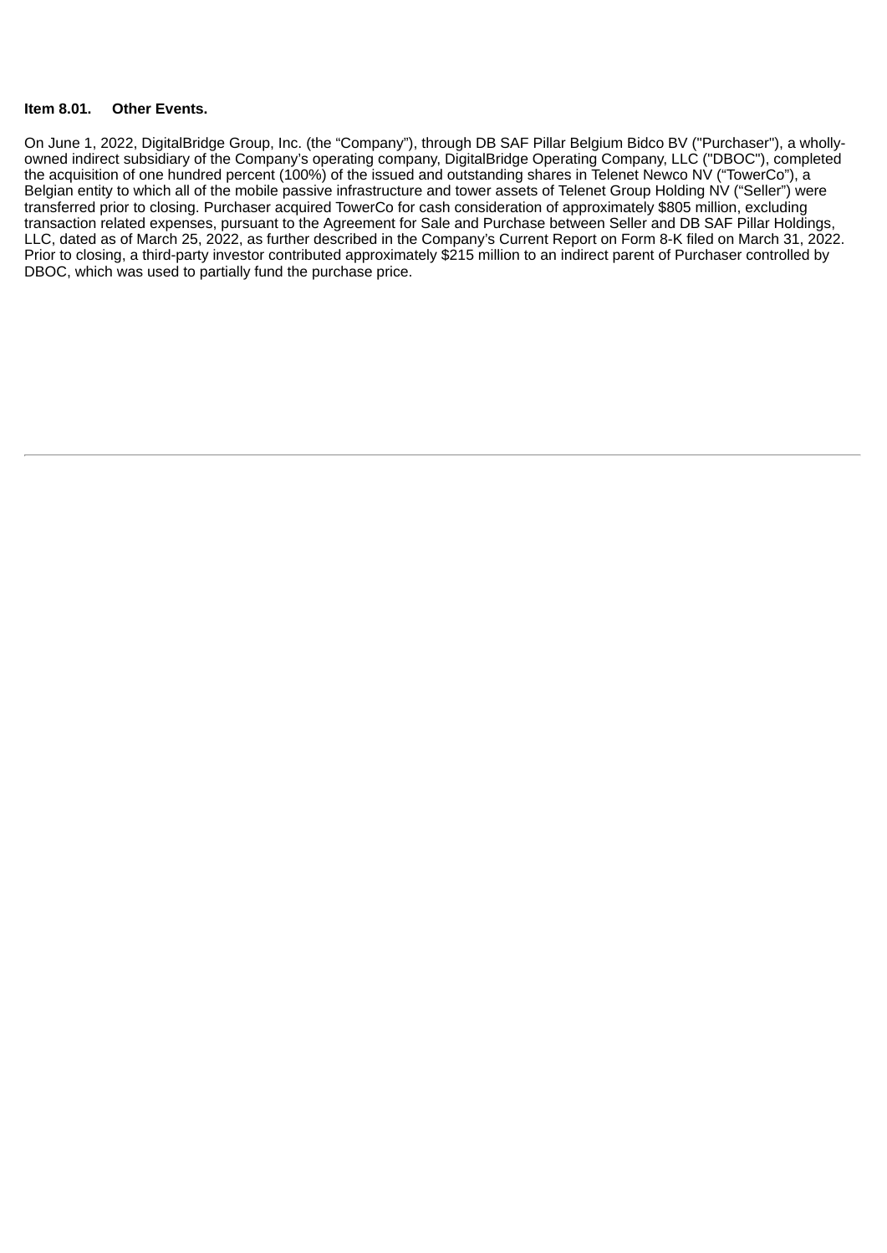#### **Item 8.01. Other Events.**

On June 1, 2022, DigitalBridge Group, Inc. (the "Company"), through DB SAF Pillar Belgium Bidco BV ("Purchaser"), a whollyowned indirect subsidiary of the Company's operating company, DigitalBridge Operating Company, LLC ("DBOC"), completed the acquisition of one hundred percent (100%) of the issued and outstanding shares in Telenet Newco NV ("TowerCo"), a Belgian entity to which all of the mobile passive infrastructure and tower assets of Telenet Group Holding NV ("Seller") were transferred prior to closing. Purchaser acquired TowerCo for cash consideration of approximately \$805 million, excluding transaction related expenses, pursuant to the Agreement for Sale and Purchase between Seller and DB SAF Pillar Holdings, LLC, dated as of March 25, 2022, as further described in the Company's Current Report on Form 8-K filed on March 31, 2022. Prior to closing, a third-party investor contributed approximately \$215 million to an indirect parent of Purchaser controlled by DBOC, which was used to partially fund the purchase price.